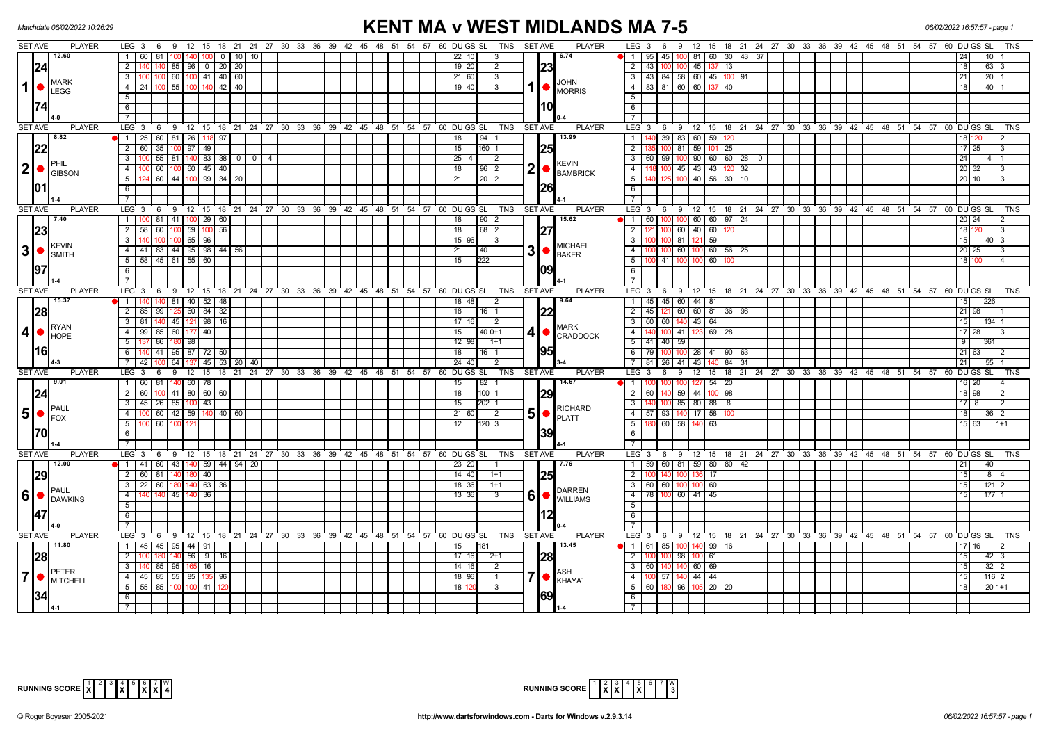| <b>KENT MA v WEST MIDLANDS MA 7-5</b><br>06/02/2022 16:57:57 - page 1<br>Matchdate 06/02/2022 10:26:29 |                                                        |                     |                                                                                             |                                       |                                                                                                      |                           |  |  |  |
|--------------------------------------------------------------------------------------------------------|--------------------------------------------------------|---------------------|---------------------------------------------------------------------------------------------|---------------------------------------|------------------------------------------------------------------------------------------------------|---------------------------|--|--|--|
| <b>SET AVE</b><br><b>PLAYER</b>                                                                        |                                                        |                     | LEG 3 6 9 12 15 18 21 24 27 30 33 36 39 42 45 48 51 54 57 60 DUGS SL TNS SETAVE             | <b>PLAYER</b>                         | LEG 3 6 9 12 15 18 21 24 27 30 33 36 39 42 45 48 51 54 57 60 DU GS SL                                | TNS                       |  |  |  |
| 12.60                                                                                                  | 1 60 81<br>100 140 100 0 10                            |                     | 22   10  <br>3                                                                              | 6.74                                  | 1   95   45   100   81   60   30   43   37                                                           | 10 <sup>1</sup>           |  |  |  |
| 24                                                                                                     | 140   85   96   0   20   20<br>$2 \mid 140$            |                     | 19 20 <br>$\sqrt{2}$                                                                        | 23                                    | 2 43 100 100 45 137<br>13                                                                            | 18<br>63                  |  |  |  |
| <b>MARK</b>                                                                                            | 100 60 100 41 40 60<br>3 I                             |                     | 21 60<br>$\sqrt{3}$                                                                         | <b>JOHN</b>                           | 3 43 84 58 60 45 100 91                                                                              | 21<br>  20   1            |  |  |  |
| $\mathbf 1$<br><b>LEGG</b>                                                                             | $4 \mid 24 \mid$<br>$100$ 55 $100$<br>140              | $\vert 42 \vert 40$ | $19$ 40<br>$\sqrt{3}$                                                                       | <b>MORRIS</b>                         | 4 83 81 60 60 137<br>40 I                                                                            | 18<br>40                  |  |  |  |
|                                                                                                        | 5                                                      |                     |                                                                                             |                                       | 5                                                                                                    |                           |  |  |  |
|                                                                                                        | 6                                                      |                     |                                                                                             | l10l                                  | 6                                                                                                    |                           |  |  |  |
|                                                                                                        | $\overline{7}$                                         |                     |                                                                                             |                                       | $\overline{7}$                                                                                       |                           |  |  |  |
| <b>SET AVE</b><br><b>PLAYER</b>                                                                        | LEG <sup>3</sup>                                       |                     | 6 9 12 15 18 21 24 27 30 33 36 39 42 45 48 51 54 57 60 DUGS SL<br>TNS                       | <b>SET AVE</b><br><b>PLAYER</b>       | $LEG \ 3$<br>6 9 12 15 18 21 24 27 30 33 36 39 42 45 48 51 54 57 60 DUGS SL                          | <b>TNS</b>                |  |  |  |
| 8.82                                                                                                   | 1   25   60   81   26   118   97                       |                     | 94 1<br>18 <sup>1</sup>                                                                     | 13.99                                 | 39 83 60 59 120<br>1                                                                                 | 18 120<br>2               |  |  |  |
| 22                                                                                                     | 35 100 97 49<br>$2 \mid 60 \mid$                       |                     | 15<br>$160$ 1                                                                               | <b>25</b>                             | 100 81 59 101<br>25<br>$\overline{2}$                                                                | $17$   25<br>l 3          |  |  |  |
| PHIL                                                                                                   | $55$ 81 $140$ 83 38 0 0 4<br>3   100                   |                     |                                                                                             | <b>KEVIN</b>                          | 3 60 99 100 90 60 60 280                                                                             |                           |  |  |  |
| $ 2  \bullet  _{\text{GIBSON}}^{\text{PHIL}}$                                                          | $\overline{00}$ 60 100 60 45 40<br>$4 \mid 1$          |                     | 18 96 2                                                                                     | $2  \bullet  $<br><b>BAMBRICK</b>     | 4 118 100 45 43 43 120 32                                                                            | 20 32<br>l 3              |  |  |  |
|                                                                                                        | 4 60 44 100 99 34 20<br>$5^{\circ}$                    |                     | l 21 l                                                                                      |                                       | 125 100 40 56 30 10<br>$5-1$                                                                         | l 20 l 10 l<br>-3         |  |  |  |
| 101                                                                                                    | 6                                                      |                     |                                                                                             | 26                                    | 6                                                                                                    |                           |  |  |  |
| <b>SET AVE</b><br><b>PLAYER</b>                                                                        | $\overline{7}$<br>9 12 15                              |                     | TNS                                                                                         | <b>SET AVE</b><br><b>PLAYER</b>       | $\overline{7}$<br>$LEG \ 3$                                                                          | <b>TNS</b>                |  |  |  |
| 7.40                                                                                                   | LEG 3<br>6<br>81 41 100 29 60<br>$1 \mid 1$            |                     | 18 21 24 27 30 33 36 39 42 45 48 51 54 57 60 DUGS SL<br>$\left  \frac{90}{2} \right $<br>18 | 15.62                                 | 6 9 12 15 18 21 24 27 30 33 36 39 42 45 48 51 54 57 60 DUGS SL<br>$1 \mid 60$<br>100 100 60 60 97 24 | 20 24 <br>2               |  |  |  |
|                                                                                                        | $2$ 58 60 100 59 100 56                                |                     | 18                                                                                          | 127                                   | 100 60 40 60<br>$\overline{2}$                                                                       | 18 120<br>3               |  |  |  |
| 23                                                                                                     | 100 100 65 96<br>$3 \mid 140$                          |                     | $15 \mid 96 \mid$ 3                                                                         |                                       | 100 81 121 59<br>$3$ $\vert$                                                                         | 15<br>$ 40 $ 3            |  |  |  |
| <b>KEVIN</b><br>3 <sup>1</sup>                                                                         | 4 4 41 83 44 95 98 44 56                               |                     | 21<br> 40                                                                                   | <b>MICHAEL</b>                        | 100 60 56 25<br>$\overline{4}$<br>100 60                                                             | 20 25<br>$\cdot$ 3        |  |  |  |
| $\blacksquare$ SMITH                                                                                   | $5$   58   45   61   55   60                           |                     | 15<br>222                                                                                   |                                       | $5\overline{)}$<br>41 100<br>60<br>100 <sub>1</sub>                                                  | 18                        |  |  |  |
| 197                                                                                                    | 6                                                      |                     |                                                                                             | 109                                   | 6                                                                                                    |                           |  |  |  |
|                                                                                                        | $7^{\circ}$                                            |                     |                                                                                             |                                       | $7^{\circ}$                                                                                          |                           |  |  |  |
| <b>SET AVE</b><br><b>PLAYER</b>                                                                        | $LEG_3$                                                |                     | 6 9 12 15 18 21 24 27 30 33 36 39 42 45 48 51 54 57 60 DUGS SL<br>TNS SET AVE               | <b>PLAYER</b>                         | LEG <sub>3</sub><br>6 9 12 15 18 21 24 27 30 33 36 39 42 45 48 51 54 57 60 DUGS SL                   | <b>TNS</b>                |  |  |  |
| 15.37                                                                                                  | $1\vert$ 1<br>140 81 40 52 48                          |                     | 18   48 T<br>2                                                                              | 9.64                                  | 1 45 45 60 44 81                                                                                     | 15 <sup>1</sup>           |  |  |  |
| 28                                                                                                     | $2 \mid 85 \mid$<br>99 125 60 84 32                    |                     | 18<br>$116$   1                                                                             | 22                                    | 2 45 121 60 60 81 36 98                                                                              | 21   98                   |  |  |  |
|                                                                                                        | 140 45 121 98 16<br>3   81                             |                     | 17   16  <br>$\sqrt{2}$                                                                     |                                       | 3 60 60 140 43 64                                                                                    | 15                        |  |  |  |
| <b>RYAN</b><br>4 <sup>1</sup><br>HOPE                                                                  | 4   99   85   60   177   40                            |                     | $140D+1$<br>15                                                                              | <b>MARK</b><br>4 •<br><b>CRADDOCK</b> | 100 41 123 69 28<br>$\overline{4}$                                                                   | 17 28                     |  |  |  |
|                                                                                                        | 5   137   86   180   98                                |                     | $12$   98  <br>$1+1$                                                                        |                                       | 5 41 40 59                                                                                           | 9                         |  |  |  |
| l16I                                                                                                   | 6   140   41   95   87   72   50                       |                     | 16 1<br>18 <sup>1</sup>                                                                     | 195                                   | 6 79 100 100 28 41 90 63                                                                             | 21 63                     |  |  |  |
|                                                                                                        | 100 64 137 45 53 20 40<br>7   42                       |                     | 24   40                                                                                     |                                       | 7 81 26 41 43 14<br>84 31                                                                            | 21                        |  |  |  |
| <b>SET AVE</b><br><b>PLAYER</b>                                                                        | LEG <sub>3</sub><br>9<br>$12^{-}$<br>15<br>- 6         |                     | 18  21  24  27  30  33  36  39  42  45  48  51  54  57  60  DU GS  SL<br><b>TNS</b>         | <b>SET AVE</b><br><b>PLAYER</b>       | LEG <sub>3</sub><br>12<br>15<br>18 21 24 27 30 33 36 39 42 45 48 51 54 57<br>- 6<br>9                | 60 DU GS SL<br>TNS        |  |  |  |
| 9.01                                                                                                   | 1 60 81 140 60 78                                      |                     | 82 1<br>15 <sub>l</sub>                                                                     | 14.67                                 | 127 54<br>20<br>- 1 - I                                                                              | $16$   20                 |  |  |  |
| 24                                                                                                     | 100 41 80 60 60<br>2   60                              |                     | 18<br>$100$ 1                                                                               | 29                                    | 140 59 44 100<br>$2 \mid 60$<br>98                                                                   | 18 98<br>$\overline{2}$   |  |  |  |
| <b>PAUL</b>                                                                                            | 3   45   26   85   100   43                            |                     | $202$ 1<br>15                                                                               | RICHARD                               | 100 85 80 88<br>3 <sup>1</sup><br>8                                                                  | $17$   8<br>-2            |  |  |  |
| 5 • <br><b>FOX</b>                                                                                     | $4 \mid 1$                                             |                     | 21 60<br>$\overline{2}$                                                                     | $50$ $\Gamma$                         | 4 57 93 140 17 58                                                                                    | 18<br>36   2              |  |  |  |
|                                                                                                        | 1 60   100   121<br>$5$                                |                     | 12 <sub>1</sub><br>112013                                                                   | 139                                   | $5^{\circ}$<br>180 60 58 140 63<br>6                                                                 | 15 63                     |  |  |  |
|                                                                                                        | 6<br>$\overline{7}$                                    |                     |                                                                                             |                                       | $7^{\circ}$                                                                                          |                           |  |  |  |
| <b>SET AVE</b><br><b>PLAYER</b>                                                                        | LEG 3                                                  |                     | 6 9 12 15 18 21 24 27 30 33 36 39 42 45 48 51 54 57 60 DUGS SL<br>TNS                       | <b>PLAYER</b><br><b>SET AVE</b>       | LEG 3 6 9 12 15 18 21 24 27 30 33 36 39 42 45 48 51 54 57 60 DUGS SL                                 | <b>TNS</b>                |  |  |  |
| 12.00                                                                                                  | 1 41 60 43 140 59 44 94 20                             |                     | 23 20                                                                                       | 7.76                                  | 1 59 60 81 59 80 80 42                                                                               | 21<br>40                  |  |  |  |
| 29                                                                                                     | $\overline{40}$<br>2   60 <br>81                       |                     | $14$   40  <br>1+1                                                                          | <u> 25</u>                            | $\overline{2}$<br>136 17<br>140 100                                                                  | 15  <br>  8   4           |  |  |  |
|                                                                                                        | 3   22   60   180   140   63   36                      |                     | 18 36<br>$1+1$                                                                              |                                       | 3   60   60   100   100   60                                                                         | 15 <br>$ 121 $ 2          |  |  |  |
| PAUL<br>$6$ $\bullet$ $\overline{\phantom{a}}$ DAWKINS                                                 | $\overline{4}$<br>140 45 140<br>36                     |                     | 13 36                                                                                       | <b>DARREN</b><br>6   WILLIAMS         | 4 78 100 60 41 45                                                                                    | 15<br>1771                |  |  |  |
|                                                                                                        | 5                                                      |                     |                                                                                             |                                       | 5                                                                                                    |                           |  |  |  |
|                                                                                                        | 6                                                      |                     |                                                                                             | 112                                   | 6                                                                                                    |                           |  |  |  |
|                                                                                                        |                                                        |                     |                                                                                             |                                       | $\overline{7}$                                                                                       |                           |  |  |  |
| <b>SET AVE</b><br><b>PLAYER</b>                                                                        |                                                        |                     | LEG 3 6 9 12 15 18 21 24 27 30 33 36 39 42 45 48 51 54 57 60 DUGS SL<br>TNS SET AVE         | <b>PLAYER</b>                         | LEG 3 6 9 12 15 18 21 24 27 30 33 36 39 42 45 48 51 54 57 60 DUGS SL                                 | <b>TNS</b>                |  |  |  |
| 11.80                                                                                                  | 1 45 45 95 44 91                                       |                     | 181<br>15                                                                                   | 13.45                                 | 1 61 85 100<br>140 99<br>16                                                                          |                           |  |  |  |
| 28                                                                                                     | $2 \mid 1$<br>$56$ 9<br>180 I                          | 16 I                | 17   16  <br>2+1                                                                            | <u> 28</u>                            | 2 <sub>1</sub><br>100 98<br>100 61                                                                   | 15<br>42<br>3             |  |  |  |
|                                                                                                        | 3 <sup>1</sup><br>85 95 165<br>16                      |                     | $14$ 16<br>$\sqrt{2}$                                                                       |                                       | $3 \mid 60$<br>60 69<br>140 140                                                                      | 15<br>32<br>$\mathcal{P}$ |  |  |  |
| PETER<br>$\overline{7}$<br><b>MITCHELL</b>                                                             | 4 4 5 85 55 85 135 96                                  |                     | 18 96<br>I 1                                                                                | IASH<br>KHAYA1                        | 4 100 57 140 44 44                                                                                   | 15<br> 116  2             |  |  |  |
|                                                                                                        | $5 \mid 55 \mid 85 \mid 100 \mid 100 \mid 41 \mid 120$ |                     | 18 120<br>$\sqrt{3}$                                                                        |                                       | 5 60 180 96 105 20 20                                                                                | $120 \, h+1$<br>18        |  |  |  |
|                                                                                                        | 6                                                      |                     |                                                                                             | 1691                                  | 6                                                                                                    |                           |  |  |  |
|                                                                                                        |                                                        |                     |                                                                                             |                                       | 7 <sup>1</sup>                                                                                       |                           |  |  |  |

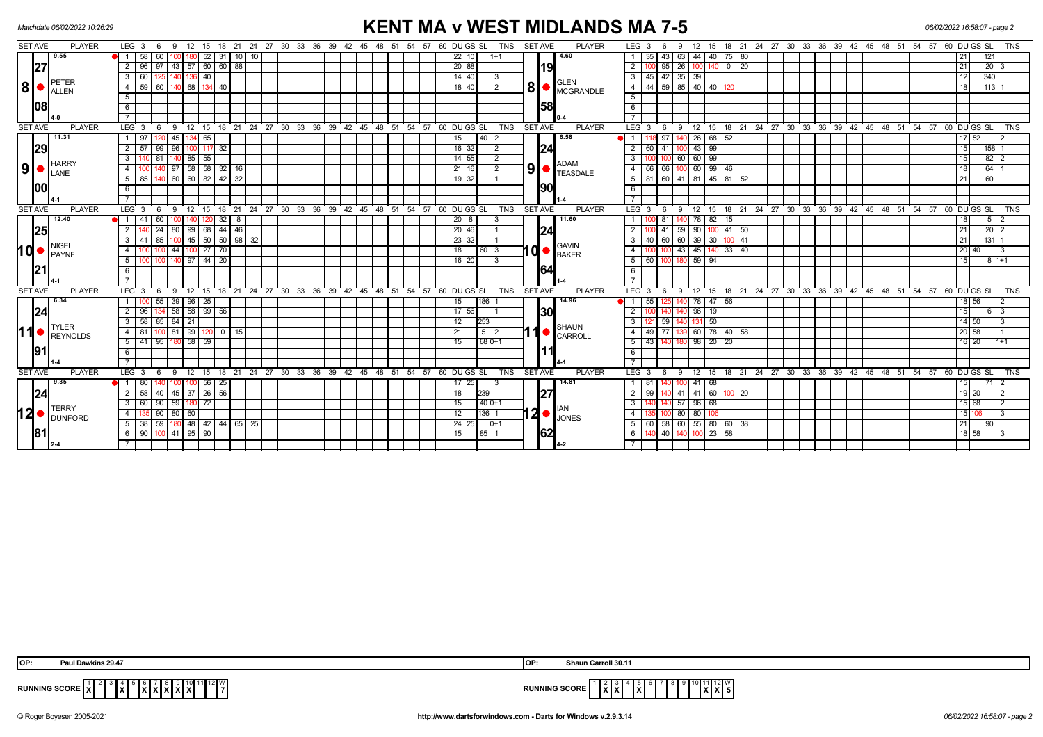| <b>PLAYER</b><br><b>SET AVE</b><br><b>SET AVE</b><br>LEG <sub>3</sub><br>18  21  24  27  30  33  36  39  42  45  48  51  54  57  60  DU GS  SL<br><b>TNS</b><br><b>PLAYER</b><br>18  21  24  27  30  33  36  39  42  45  48  51  54  57  60  DU GS  SL<br><b>TNS</b><br>LEG 3<br>12 15<br>- 6<br>-9<br>$12 \overline{ }$<br>15<br>6<br>9<br>9.55<br>4.60<br>58<br>52<br>$31$ 10 $10$<br>40<br>75 80<br>1 <sup>1</sup><br>60<br>22 10<br>43<br>63<br>44<br>35<br>1121<br>1+1<br>27<br>60<br> 19 <br>26<br>$\overline{2}$<br>96<br>97<br>$43 \mid 57$<br>60 88<br>20 88<br>$\overline{2}$<br>95<br>140<br>$\overline{0}$<br>$\sqrt{20}$<br> 20 3<br>21<br>40<br>$14$ 40<br>42 35 39<br>12<br>340<br>3 I<br>60<br>3<br>45 I<br>1361<br>PETER<br>GLEN<br> 8 <br>$\mathbf{8}$ $\bullet$ $\mathbf{C}$ MCGRANDLE<br>$59 \ 85 \ 40 \ 40$<br>68<br>18 40<br>59<br>2<br>$\overline{4}$<br>44<br>18<br>$\overline{4}$<br>60<br>40<br><b>ALLEN</b><br>5<br>5<br>1581<br>108<br>6<br>6<br><b>SET AVE</b><br><b>PLAYER</b><br><b>PLAYER</b><br>18 21 24 27 30 33 36 39 42 45 48 51 54 57 60 DUGS SL<br><b>TNS</b><br><b>SET AVE</b><br>LEG <sub>3</sub><br>12 15 18 21 24 27 30 33 36 39 42 45 48 51 54 57 60 DUGS SL<br><b>TNS</b><br>LEG <sub>3</sub><br>9<br>12 15<br>6<br>- 9<br>6<br>11.31<br>6.58<br>26   68   52<br>45 134 65<br>$40$   2<br>97<br>$17$ 52<br>1   97<br>15 <sub>1</sub><br>$\blacksquare$<br>$-99$<br>29<br>$2 \mid 57$<br>$16$ 32<br>$\sqrt{2}$<br> 24 <br>41<br>$-43$<br>99<br>96<br>117 32<br>$\overline{2}$<br>15<br>60<br>158I<br>$140$ 85 55<br>$\frac{14}{55}$<br>100 60 60 99<br> 82 2<br>81<br>$\sqrt{2}$<br>3<br>15<br>3 I<br><b>HARRY</b><br><b>ADAM</b><br> 9 <br>$\left  9 \right $ $\bullet$ Teasdale<br>58 58 32 16<br>60 99<br>$21$ 16<br>$\vert$ 2<br>18<br>64<br>$\overline{4}$<br>97<br>66 I<br>66<br>46<br>LANE<br>$140$ 60 60 82 42 32<br>$81$ 60 41 81 45 81 52<br>$19$ 32<br>$5 \ 85$<br>5<br>21<br>$\overline{60}$<br>100<br>1901<br>6<br>6<br>$\overline{7}$<br><b>PLAYER</b><br>$24$ 27 30 33 36 39 42 45<br><b>PLAYER</b><br>18 21 24 27 30 33 36 39 42 45 48 51 54 57 60 DUGS SL<br><b>SET AVE</b><br>$48 \t 51$<br>$54$ $57$ $60$ $DU$ $GS$ $SL$<br><b>TNS</b><br><b>SET AVE</b><br>LEG <sup>3</sup><br><b>TNS</b><br>LEG <sup>3</sup><br>9<br>$12 \quad 15$<br>18<br>21<br>6<br>$12 \quad 15$<br>- 6<br>-9<br>12.40<br>11.60<br>82<br>$1 \overline{41}$<br>60<br>32<br>8<br>$20$   8<br>81<br>78<br>$\overline{18}$<br>5 2<br>3<br>15<br>20 46<br> 24<br> 25 <br>$\overline{2}$<br>24<br>99   68   44   46<br>$100$ 41 50<br>21<br> 20 <br>80 I<br>59<br>90<br>50<br>45<br>$50 \mid 98 \mid 32$<br>23 32<br>60<br>60<br>39<br>30<br> 131 <br>41<br>85<br>41<br>21<br>3 I<br>3<br>40 l<br>10 <sup>c</sup><br><b>NIGEL</b><br><b>GAVIN</b><br>10 <sub>1</sub><br>$10 \bullet$ BAKER<br>44 100 27 70<br> 18 <br>43 45 140 33 40<br> 20 40 <br>60 3<br>$\overline{4}$<br>4 I<br>100<br><b>PAYNE</b><br>9714420<br>59<br>94<br>5 <sub>1</sub><br>$16$   20<br>$\overline{3}$<br>5<br>60<br>15<br>8 1+1<br>100<br>164<br>6<br>6<br>$\overline{7}$<br>12 15 18 21 24 27 30 33 36 39 42 45 48 51 54 57 60 DUGS SL<br>12 15 18 21 24 27 30 33 36 39 42 45 48 51 54 57 60 DUGS SL<br><b>SET AVE</b><br><b>PLAYER</b><br><b>TNS</b><br><b>SET AVE</b><br><b>PLAYER</b><br>LEG <sub>3</sub><br><b>TNS</b><br>LEG <sub>3</sub><br>9<br>9<br>- 6<br>- 6<br>6.34<br>$100$ 55<br>$39 \mid 96 \mid 25$<br>14.96<br>$47 \overline{56}$<br>18 56 <br>186<br>55<br>1 <sup>1</sup><br>15 <sup>1</sup><br>125<br>78 I<br>24<br>134 58 58 99 56<br>19<br>15<br>$2 \mid 96$<br>$\sqrt{17}$ 56<br>130I<br>2<br>96<br>140<br>58   85   84   21<br>50<br>14 50<br>3 I<br>12<br>3<br>59<br>253<br><b>TYLER</b><br>SHAUN<br>110<br>$100$ 81 99 120 0 15<br>60 78 40 58<br>21<br>49 77<br>4   81  <br>$\overline{4}$<br>  20   58  <br>REYNOLDS<br>CARROLL<br>58   59<br>20<br>95<br>15<br>$680+1$<br>98<br>20<br>$16$   20<br>5   41  <br>5<br>43 I<br>191<br>6<br>6<br>18 21 24 27 30 33 36 39 42 45 48 51 54 57 60 DUGS SL<br><b>PLAYER</b><br>18 21 24 27 30 33 36 39 42 45 48 51 54 57 60 DUGS SL<br><b>SET AVE</b><br><b>PLAYER</b><br><b>TNS</b><br><b>SET AVE</b><br>LEG <sub>3</sub><br><b>TNS</b><br>$LEG \ 3$<br>9<br>12<br>15<br>12 15<br>- 6<br>9<br>-6<br>9.35<br>$100$ 56<br>14.81<br>25<br>$17 \mid 25$<br>68<br>80<br>15  <br>71  <br>41<br>45 37 26 56<br> 24 <br>$2 \mid 58 \mid$<br>$-40$<br>18<br>127<br>41<br>$41 \ 60$<br>$100$ 20<br>19 20<br>239<br>2<br>99<br>140<br>59 180 72<br>15<br>3 I<br> 90 <br>$140D+1$<br>57<br>96 <sup>1</sup><br>68<br>15 68<br>-60 I<br><b>TERRY</b><br>12 <sub>0</sub><br>$ 2 $ $ _{JONES}$<br>90<br>80 60<br>12<br>136 1<br>80<br>80<br>106<br>15 1<br>4<br>$\overline{4}$<br><b>I</b> DUNFORD<br>5   38   59   180   48   42   44   65   25<br>60 55 80 60 38<br>24 25 <br>$D+1$<br>$\overline{5}$<br>60 58<br>21<br> 90 <br>62<br>181<br>40 140 100 23 58<br>$6$   90   100   41   95   90  <br>$\frac{18}{58}$<br>15<br> 85 1<br>6<br><b>13</b> | <b>KENT MA v WEST MIDLANDS MA 7-5</b><br>Matchdate 06/02/2022 10:26:29 |  |  |  |  |  |  |  |  |  |
|---------------------------------------------------------------------------------------------------------------------------------------------------------------------------------------------------------------------------------------------------------------------------------------------------------------------------------------------------------------------------------------------------------------------------------------------------------------------------------------------------------------------------------------------------------------------------------------------------------------------------------------------------------------------------------------------------------------------------------------------------------------------------------------------------------------------------------------------------------------------------------------------------------------------------------------------------------------------------------------------------------------------------------------------------------------------------------------------------------------------------------------------------------------------------------------------------------------------------------------------------------------------------------------------------------------------------------------------------------------------------------------------------------------------------------------------------------------------------------------------------------------------------------------------------------------------------------------------------------------------------------------------------------------------------------------------------------------------------------------------------------------------------------------------------------------------------------------------------------------------------------------------------------------------------------------------------------------------------------------------------------------------------------------------------------------------------------------------------------------------------------------------------------------------------------------------------------------------------------------------------------------------------------------------------------------------------------------------------------------------------------------------------------------------------------------------------------------------------------------------------------------------------------------------------------------------------------------------------------------------------------------------------------------------------------------------------------------------------------------------------------------------------------------------------------------------------------------------------------------------------------------------------------------------------------------------------------------------------------------------------------------------------------------------------------------------------------------------------------------------------------------------------------------------------------------------------------------------------------------------------------------------------------------------------------------------------------------------------------------------------------------------------------------------------------------------------------------------------------------------------------------------------------------------------------------------------------------------------------------------------------------------------------------------------------------------------------------------------------------------------------------------------------------------------------------------------------------------------------------------------------------------------------------------------------------------------------------------------------------------------------------------------------------------------------------------------------------------------------------------------------------------------------------------------------------------------------------------------------------------------------------------------------------------------------------------------------------------------------------------------------------------------------------------------------------------------------------------------------------------------------------------------------------------------------------------------------------------------------------------------------------------------------------------------------------------------------------------------------------------------------------------------------------------------------------------------------------------------------------------------------------------------------------------------------------------------------------------------------------------------------------------|------------------------------------------------------------------------|--|--|--|--|--|--|--|--|--|
|                                                                                                                                                                                                                                                                                                                                                                                                                                                                                                                                                                                                                                                                                                                                                                                                                                                                                                                                                                                                                                                                                                                                                                                                                                                                                                                                                                                                                                                                                                                                                                                                                                                                                                                                                                                                                                                                                                                                                                                                                                                                                                                                                                                                                                                                                                                                                                                                                                                                                                                                                                                                                                                                                                                                                                                                                                                                                                                                                                                                                                                                                                                                                                                                                                                                                                                                                                                                                                                                                                                                                                                                                                                                                                                                                                                                                                                                                                                                                                                                                                                                                                                                                                                                                                                                                                                                                                                                                                                                                                                                                                                                                                                                                                                                                                                                                                                                                                                                                                                                                     |                                                                        |  |  |  |  |  |  |  |  |  |
|                                                                                                                                                                                                                                                                                                                                                                                                                                                                                                                                                                                                                                                                                                                                                                                                                                                                                                                                                                                                                                                                                                                                                                                                                                                                                                                                                                                                                                                                                                                                                                                                                                                                                                                                                                                                                                                                                                                                                                                                                                                                                                                                                                                                                                                                                                                                                                                                                                                                                                                                                                                                                                                                                                                                                                                                                                                                                                                                                                                                                                                                                                                                                                                                                                                                                                                                                                                                                                                                                                                                                                                                                                                                                                                                                                                                                                                                                                                                                                                                                                                                                                                                                                                                                                                                                                                                                                                                                                                                                                                                                                                                                                                                                                                                                                                                                                                                                                                                                                                                                     |                                                                        |  |  |  |  |  |  |  |  |  |
|                                                                                                                                                                                                                                                                                                                                                                                                                                                                                                                                                                                                                                                                                                                                                                                                                                                                                                                                                                                                                                                                                                                                                                                                                                                                                                                                                                                                                                                                                                                                                                                                                                                                                                                                                                                                                                                                                                                                                                                                                                                                                                                                                                                                                                                                                                                                                                                                                                                                                                                                                                                                                                                                                                                                                                                                                                                                                                                                                                                                                                                                                                                                                                                                                                                                                                                                                                                                                                                                                                                                                                                                                                                                                                                                                                                                                                                                                                                                                                                                                                                                                                                                                                                                                                                                                                                                                                                                                                                                                                                                                                                                                                                                                                                                                                                                                                                                                                                                                                                                                     |                                                                        |  |  |  |  |  |  |  |  |  |
|                                                                                                                                                                                                                                                                                                                                                                                                                                                                                                                                                                                                                                                                                                                                                                                                                                                                                                                                                                                                                                                                                                                                                                                                                                                                                                                                                                                                                                                                                                                                                                                                                                                                                                                                                                                                                                                                                                                                                                                                                                                                                                                                                                                                                                                                                                                                                                                                                                                                                                                                                                                                                                                                                                                                                                                                                                                                                                                                                                                                                                                                                                                                                                                                                                                                                                                                                                                                                                                                                                                                                                                                                                                                                                                                                                                                                                                                                                                                                                                                                                                                                                                                                                                                                                                                                                                                                                                                                                                                                                                                                                                                                                                                                                                                                                                                                                                                                                                                                                                                                     |                                                                        |  |  |  |  |  |  |  |  |  |
|                                                                                                                                                                                                                                                                                                                                                                                                                                                                                                                                                                                                                                                                                                                                                                                                                                                                                                                                                                                                                                                                                                                                                                                                                                                                                                                                                                                                                                                                                                                                                                                                                                                                                                                                                                                                                                                                                                                                                                                                                                                                                                                                                                                                                                                                                                                                                                                                                                                                                                                                                                                                                                                                                                                                                                                                                                                                                                                                                                                                                                                                                                                                                                                                                                                                                                                                                                                                                                                                                                                                                                                                                                                                                                                                                                                                                                                                                                                                                                                                                                                                                                                                                                                                                                                                                                                                                                                                                                                                                                                                                                                                                                                                                                                                                                                                                                                                                                                                                                                                                     |                                                                        |  |  |  |  |  |  |  |  |  |
|                                                                                                                                                                                                                                                                                                                                                                                                                                                                                                                                                                                                                                                                                                                                                                                                                                                                                                                                                                                                                                                                                                                                                                                                                                                                                                                                                                                                                                                                                                                                                                                                                                                                                                                                                                                                                                                                                                                                                                                                                                                                                                                                                                                                                                                                                                                                                                                                                                                                                                                                                                                                                                                                                                                                                                                                                                                                                                                                                                                                                                                                                                                                                                                                                                                                                                                                                                                                                                                                                                                                                                                                                                                                                                                                                                                                                                                                                                                                                                                                                                                                                                                                                                                                                                                                                                                                                                                                                                                                                                                                                                                                                                                                                                                                                                                                                                                                                                                                                                                                                     |                                                                        |  |  |  |  |  |  |  |  |  |
|                                                                                                                                                                                                                                                                                                                                                                                                                                                                                                                                                                                                                                                                                                                                                                                                                                                                                                                                                                                                                                                                                                                                                                                                                                                                                                                                                                                                                                                                                                                                                                                                                                                                                                                                                                                                                                                                                                                                                                                                                                                                                                                                                                                                                                                                                                                                                                                                                                                                                                                                                                                                                                                                                                                                                                                                                                                                                                                                                                                                                                                                                                                                                                                                                                                                                                                                                                                                                                                                                                                                                                                                                                                                                                                                                                                                                                                                                                                                                                                                                                                                                                                                                                                                                                                                                                                                                                                                                                                                                                                                                                                                                                                                                                                                                                                                                                                                                                                                                                                                                     |                                                                        |  |  |  |  |  |  |  |  |  |
|                                                                                                                                                                                                                                                                                                                                                                                                                                                                                                                                                                                                                                                                                                                                                                                                                                                                                                                                                                                                                                                                                                                                                                                                                                                                                                                                                                                                                                                                                                                                                                                                                                                                                                                                                                                                                                                                                                                                                                                                                                                                                                                                                                                                                                                                                                                                                                                                                                                                                                                                                                                                                                                                                                                                                                                                                                                                                                                                                                                                                                                                                                                                                                                                                                                                                                                                                                                                                                                                                                                                                                                                                                                                                                                                                                                                                                                                                                                                                                                                                                                                                                                                                                                                                                                                                                                                                                                                                                                                                                                                                                                                                                                                                                                                                                                                                                                                                                                                                                                                                     |                                                                        |  |  |  |  |  |  |  |  |  |
|                                                                                                                                                                                                                                                                                                                                                                                                                                                                                                                                                                                                                                                                                                                                                                                                                                                                                                                                                                                                                                                                                                                                                                                                                                                                                                                                                                                                                                                                                                                                                                                                                                                                                                                                                                                                                                                                                                                                                                                                                                                                                                                                                                                                                                                                                                                                                                                                                                                                                                                                                                                                                                                                                                                                                                                                                                                                                                                                                                                                                                                                                                                                                                                                                                                                                                                                                                                                                                                                                                                                                                                                                                                                                                                                                                                                                                                                                                                                                                                                                                                                                                                                                                                                                                                                                                                                                                                                                                                                                                                                                                                                                                                                                                                                                                                                                                                                                                                                                                                                                     |                                                                        |  |  |  |  |  |  |  |  |  |
|                                                                                                                                                                                                                                                                                                                                                                                                                                                                                                                                                                                                                                                                                                                                                                                                                                                                                                                                                                                                                                                                                                                                                                                                                                                                                                                                                                                                                                                                                                                                                                                                                                                                                                                                                                                                                                                                                                                                                                                                                                                                                                                                                                                                                                                                                                                                                                                                                                                                                                                                                                                                                                                                                                                                                                                                                                                                                                                                                                                                                                                                                                                                                                                                                                                                                                                                                                                                                                                                                                                                                                                                                                                                                                                                                                                                                                                                                                                                                                                                                                                                                                                                                                                                                                                                                                                                                                                                                                                                                                                                                                                                                                                                                                                                                                                                                                                                                                                                                                                                                     |                                                                        |  |  |  |  |  |  |  |  |  |
|                                                                                                                                                                                                                                                                                                                                                                                                                                                                                                                                                                                                                                                                                                                                                                                                                                                                                                                                                                                                                                                                                                                                                                                                                                                                                                                                                                                                                                                                                                                                                                                                                                                                                                                                                                                                                                                                                                                                                                                                                                                                                                                                                                                                                                                                                                                                                                                                                                                                                                                                                                                                                                                                                                                                                                                                                                                                                                                                                                                                                                                                                                                                                                                                                                                                                                                                                                                                                                                                                                                                                                                                                                                                                                                                                                                                                                                                                                                                                                                                                                                                                                                                                                                                                                                                                                                                                                                                                                                                                                                                                                                                                                                                                                                                                                                                                                                                                                                                                                                                                     |                                                                        |  |  |  |  |  |  |  |  |  |
|                                                                                                                                                                                                                                                                                                                                                                                                                                                                                                                                                                                                                                                                                                                                                                                                                                                                                                                                                                                                                                                                                                                                                                                                                                                                                                                                                                                                                                                                                                                                                                                                                                                                                                                                                                                                                                                                                                                                                                                                                                                                                                                                                                                                                                                                                                                                                                                                                                                                                                                                                                                                                                                                                                                                                                                                                                                                                                                                                                                                                                                                                                                                                                                                                                                                                                                                                                                                                                                                                                                                                                                                                                                                                                                                                                                                                                                                                                                                                                                                                                                                                                                                                                                                                                                                                                                                                                                                                                                                                                                                                                                                                                                                                                                                                                                                                                                                                                                                                                                                                     |                                                                        |  |  |  |  |  |  |  |  |  |
|                                                                                                                                                                                                                                                                                                                                                                                                                                                                                                                                                                                                                                                                                                                                                                                                                                                                                                                                                                                                                                                                                                                                                                                                                                                                                                                                                                                                                                                                                                                                                                                                                                                                                                                                                                                                                                                                                                                                                                                                                                                                                                                                                                                                                                                                                                                                                                                                                                                                                                                                                                                                                                                                                                                                                                                                                                                                                                                                                                                                                                                                                                                                                                                                                                                                                                                                                                                                                                                                                                                                                                                                                                                                                                                                                                                                                                                                                                                                                                                                                                                                                                                                                                                                                                                                                                                                                                                                                                                                                                                                                                                                                                                                                                                                                                                                                                                                                                                                                                                                                     |                                                                        |  |  |  |  |  |  |  |  |  |
|                                                                                                                                                                                                                                                                                                                                                                                                                                                                                                                                                                                                                                                                                                                                                                                                                                                                                                                                                                                                                                                                                                                                                                                                                                                                                                                                                                                                                                                                                                                                                                                                                                                                                                                                                                                                                                                                                                                                                                                                                                                                                                                                                                                                                                                                                                                                                                                                                                                                                                                                                                                                                                                                                                                                                                                                                                                                                                                                                                                                                                                                                                                                                                                                                                                                                                                                                                                                                                                                                                                                                                                                                                                                                                                                                                                                                                                                                                                                                                                                                                                                                                                                                                                                                                                                                                                                                                                                                                                                                                                                                                                                                                                                                                                                                                                                                                                                                                                                                                                                                     |                                                                        |  |  |  |  |  |  |  |  |  |
|                                                                                                                                                                                                                                                                                                                                                                                                                                                                                                                                                                                                                                                                                                                                                                                                                                                                                                                                                                                                                                                                                                                                                                                                                                                                                                                                                                                                                                                                                                                                                                                                                                                                                                                                                                                                                                                                                                                                                                                                                                                                                                                                                                                                                                                                                                                                                                                                                                                                                                                                                                                                                                                                                                                                                                                                                                                                                                                                                                                                                                                                                                                                                                                                                                                                                                                                                                                                                                                                                                                                                                                                                                                                                                                                                                                                                                                                                                                                                                                                                                                                                                                                                                                                                                                                                                                                                                                                                                                                                                                                                                                                                                                                                                                                                                                                                                                                                                                                                                                                                     |                                                                        |  |  |  |  |  |  |  |  |  |
|                                                                                                                                                                                                                                                                                                                                                                                                                                                                                                                                                                                                                                                                                                                                                                                                                                                                                                                                                                                                                                                                                                                                                                                                                                                                                                                                                                                                                                                                                                                                                                                                                                                                                                                                                                                                                                                                                                                                                                                                                                                                                                                                                                                                                                                                                                                                                                                                                                                                                                                                                                                                                                                                                                                                                                                                                                                                                                                                                                                                                                                                                                                                                                                                                                                                                                                                                                                                                                                                                                                                                                                                                                                                                                                                                                                                                                                                                                                                                                                                                                                                                                                                                                                                                                                                                                                                                                                                                                                                                                                                                                                                                                                                                                                                                                                                                                                                                                                                                                                                                     |                                                                        |  |  |  |  |  |  |  |  |  |
|                                                                                                                                                                                                                                                                                                                                                                                                                                                                                                                                                                                                                                                                                                                                                                                                                                                                                                                                                                                                                                                                                                                                                                                                                                                                                                                                                                                                                                                                                                                                                                                                                                                                                                                                                                                                                                                                                                                                                                                                                                                                                                                                                                                                                                                                                                                                                                                                                                                                                                                                                                                                                                                                                                                                                                                                                                                                                                                                                                                                                                                                                                                                                                                                                                                                                                                                                                                                                                                                                                                                                                                                                                                                                                                                                                                                                                                                                                                                                                                                                                                                                                                                                                                                                                                                                                                                                                                                                                                                                                                                                                                                                                                                                                                                                                                                                                                                                                                                                                                                                     |                                                                        |  |  |  |  |  |  |  |  |  |
|                                                                                                                                                                                                                                                                                                                                                                                                                                                                                                                                                                                                                                                                                                                                                                                                                                                                                                                                                                                                                                                                                                                                                                                                                                                                                                                                                                                                                                                                                                                                                                                                                                                                                                                                                                                                                                                                                                                                                                                                                                                                                                                                                                                                                                                                                                                                                                                                                                                                                                                                                                                                                                                                                                                                                                                                                                                                                                                                                                                                                                                                                                                                                                                                                                                                                                                                                                                                                                                                                                                                                                                                                                                                                                                                                                                                                                                                                                                                                                                                                                                                                                                                                                                                                                                                                                                                                                                                                                                                                                                                                                                                                                                                                                                                                                                                                                                                                                                                                                                                                     |                                                                        |  |  |  |  |  |  |  |  |  |
|                                                                                                                                                                                                                                                                                                                                                                                                                                                                                                                                                                                                                                                                                                                                                                                                                                                                                                                                                                                                                                                                                                                                                                                                                                                                                                                                                                                                                                                                                                                                                                                                                                                                                                                                                                                                                                                                                                                                                                                                                                                                                                                                                                                                                                                                                                                                                                                                                                                                                                                                                                                                                                                                                                                                                                                                                                                                                                                                                                                                                                                                                                                                                                                                                                                                                                                                                                                                                                                                                                                                                                                                                                                                                                                                                                                                                                                                                                                                                                                                                                                                                                                                                                                                                                                                                                                                                                                                                                                                                                                                                                                                                                                                                                                                                                                                                                                                                                                                                                                                                     |                                                                        |  |  |  |  |  |  |  |  |  |
|                                                                                                                                                                                                                                                                                                                                                                                                                                                                                                                                                                                                                                                                                                                                                                                                                                                                                                                                                                                                                                                                                                                                                                                                                                                                                                                                                                                                                                                                                                                                                                                                                                                                                                                                                                                                                                                                                                                                                                                                                                                                                                                                                                                                                                                                                                                                                                                                                                                                                                                                                                                                                                                                                                                                                                                                                                                                                                                                                                                                                                                                                                                                                                                                                                                                                                                                                                                                                                                                                                                                                                                                                                                                                                                                                                                                                                                                                                                                                                                                                                                                                                                                                                                                                                                                                                                                                                                                                                                                                                                                                                                                                                                                                                                                                                                                                                                                                                                                                                                                                     |                                                                        |  |  |  |  |  |  |  |  |  |
|                                                                                                                                                                                                                                                                                                                                                                                                                                                                                                                                                                                                                                                                                                                                                                                                                                                                                                                                                                                                                                                                                                                                                                                                                                                                                                                                                                                                                                                                                                                                                                                                                                                                                                                                                                                                                                                                                                                                                                                                                                                                                                                                                                                                                                                                                                                                                                                                                                                                                                                                                                                                                                                                                                                                                                                                                                                                                                                                                                                                                                                                                                                                                                                                                                                                                                                                                                                                                                                                                                                                                                                                                                                                                                                                                                                                                                                                                                                                                                                                                                                                                                                                                                                                                                                                                                                                                                                                                                                                                                                                                                                                                                                                                                                                                                                                                                                                                                                                                                                                                     |                                                                        |  |  |  |  |  |  |  |  |  |
|                                                                                                                                                                                                                                                                                                                                                                                                                                                                                                                                                                                                                                                                                                                                                                                                                                                                                                                                                                                                                                                                                                                                                                                                                                                                                                                                                                                                                                                                                                                                                                                                                                                                                                                                                                                                                                                                                                                                                                                                                                                                                                                                                                                                                                                                                                                                                                                                                                                                                                                                                                                                                                                                                                                                                                                                                                                                                                                                                                                                                                                                                                                                                                                                                                                                                                                                                                                                                                                                                                                                                                                                                                                                                                                                                                                                                                                                                                                                                                                                                                                                                                                                                                                                                                                                                                                                                                                                                                                                                                                                                                                                                                                                                                                                                                                                                                                                                                                                                                                                                     |                                                                        |  |  |  |  |  |  |  |  |  |
|                                                                                                                                                                                                                                                                                                                                                                                                                                                                                                                                                                                                                                                                                                                                                                                                                                                                                                                                                                                                                                                                                                                                                                                                                                                                                                                                                                                                                                                                                                                                                                                                                                                                                                                                                                                                                                                                                                                                                                                                                                                                                                                                                                                                                                                                                                                                                                                                                                                                                                                                                                                                                                                                                                                                                                                                                                                                                                                                                                                                                                                                                                                                                                                                                                                                                                                                                                                                                                                                                                                                                                                                                                                                                                                                                                                                                                                                                                                                                                                                                                                                                                                                                                                                                                                                                                                                                                                                                                                                                                                                                                                                                                                                                                                                                                                                                                                                                                                                                                                                                     |                                                                        |  |  |  |  |  |  |  |  |  |
|                                                                                                                                                                                                                                                                                                                                                                                                                                                                                                                                                                                                                                                                                                                                                                                                                                                                                                                                                                                                                                                                                                                                                                                                                                                                                                                                                                                                                                                                                                                                                                                                                                                                                                                                                                                                                                                                                                                                                                                                                                                                                                                                                                                                                                                                                                                                                                                                                                                                                                                                                                                                                                                                                                                                                                                                                                                                                                                                                                                                                                                                                                                                                                                                                                                                                                                                                                                                                                                                                                                                                                                                                                                                                                                                                                                                                                                                                                                                                                                                                                                                                                                                                                                                                                                                                                                                                                                                                                                                                                                                                                                                                                                                                                                                                                                                                                                                                                                                                                                                                     |                                                                        |  |  |  |  |  |  |  |  |  |
|                                                                                                                                                                                                                                                                                                                                                                                                                                                                                                                                                                                                                                                                                                                                                                                                                                                                                                                                                                                                                                                                                                                                                                                                                                                                                                                                                                                                                                                                                                                                                                                                                                                                                                                                                                                                                                                                                                                                                                                                                                                                                                                                                                                                                                                                                                                                                                                                                                                                                                                                                                                                                                                                                                                                                                                                                                                                                                                                                                                                                                                                                                                                                                                                                                                                                                                                                                                                                                                                                                                                                                                                                                                                                                                                                                                                                                                                                                                                                                                                                                                                                                                                                                                                                                                                                                                                                                                                                                                                                                                                                                                                                                                                                                                                                                                                                                                                                                                                                                                                                     |                                                                        |  |  |  |  |  |  |  |  |  |
|                                                                                                                                                                                                                                                                                                                                                                                                                                                                                                                                                                                                                                                                                                                                                                                                                                                                                                                                                                                                                                                                                                                                                                                                                                                                                                                                                                                                                                                                                                                                                                                                                                                                                                                                                                                                                                                                                                                                                                                                                                                                                                                                                                                                                                                                                                                                                                                                                                                                                                                                                                                                                                                                                                                                                                                                                                                                                                                                                                                                                                                                                                                                                                                                                                                                                                                                                                                                                                                                                                                                                                                                                                                                                                                                                                                                                                                                                                                                                                                                                                                                                                                                                                                                                                                                                                                                                                                                                                                                                                                                                                                                                                                                                                                                                                                                                                                                                                                                                                                                                     |                                                                        |  |  |  |  |  |  |  |  |  |
|                                                                                                                                                                                                                                                                                                                                                                                                                                                                                                                                                                                                                                                                                                                                                                                                                                                                                                                                                                                                                                                                                                                                                                                                                                                                                                                                                                                                                                                                                                                                                                                                                                                                                                                                                                                                                                                                                                                                                                                                                                                                                                                                                                                                                                                                                                                                                                                                                                                                                                                                                                                                                                                                                                                                                                                                                                                                                                                                                                                                                                                                                                                                                                                                                                                                                                                                                                                                                                                                                                                                                                                                                                                                                                                                                                                                                                                                                                                                                                                                                                                                                                                                                                                                                                                                                                                                                                                                                                                                                                                                                                                                                                                                                                                                                                                                                                                                                                                                                                                                                     |                                                                        |  |  |  |  |  |  |  |  |  |
|                                                                                                                                                                                                                                                                                                                                                                                                                                                                                                                                                                                                                                                                                                                                                                                                                                                                                                                                                                                                                                                                                                                                                                                                                                                                                                                                                                                                                                                                                                                                                                                                                                                                                                                                                                                                                                                                                                                                                                                                                                                                                                                                                                                                                                                                                                                                                                                                                                                                                                                                                                                                                                                                                                                                                                                                                                                                                                                                                                                                                                                                                                                                                                                                                                                                                                                                                                                                                                                                                                                                                                                                                                                                                                                                                                                                                                                                                                                                                                                                                                                                                                                                                                                                                                                                                                                                                                                                                                                                                                                                                                                                                                                                                                                                                                                                                                                                                                                                                                                                                     |                                                                        |  |  |  |  |  |  |  |  |  |
|                                                                                                                                                                                                                                                                                                                                                                                                                                                                                                                                                                                                                                                                                                                                                                                                                                                                                                                                                                                                                                                                                                                                                                                                                                                                                                                                                                                                                                                                                                                                                                                                                                                                                                                                                                                                                                                                                                                                                                                                                                                                                                                                                                                                                                                                                                                                                                                                                                                                                                                                                                                                                                                                                                                                                                                                                                                                                                                                                                                                                                                                                                                                                                                                                                                                                                                                                                                                                                                                                                                                                                                                                                                                                                                                                                                                                                                                                                                                                                                                                                                                                                                                                                                                                                                                                                                                                                                                                                                                                                                                                                                                                                                                                                                                                                                                                                                                                                                                                                                                                     |                                                                        |  |  |  |  |  |  |  |  |  |
|                                                                                                                                                                                                                                                                                                                                                                                                                                                                                                                                                                                                                                                                                                                                                                                                                                                                                                                                                                                                                                                                                                                                                                                                                                                                                                                                                                                                                                                                                                                                                                                                                                                                                                                                                                                                                                                                                                                                                                                                                                                                                                                                                                                                                                                                                                                                                                                                                                                                                                                                                                                                                                                                                                                                                                                                                                                                                                                                                                                                                                                                                                                                                                                                                                                                                                                                                                                                                                                                                                                                                                                                                                                                                                                                                                                                                                                                                                                                                                                                                                                                                                                                                                                                                                                                                                                                                                                                                                                                                                                                                                                                                                                                                                                                                                                                                                                                                                                                                                                                                     |                                                                        |  |  |  |  |  |  |  |  |  |
|                                                                                                                                                                                                                                                                                                                                                                                                                                                                                                                                                                                                                                                                                                                                                                                                                                                                                                                                                                                                                                                                                                                                                                                                                                                                                                                                                                                                                                                                                                                                                                                                                                                                                                                                                                                                                                                                                                                                                                                                                                                                                                                                                                                                                                                                                                                                                                                                                                                                                                                                                                                                                                                                                                                                                                                                                                                                                                                                                                                                                                                                                                                                                                                                                                                                                                                                                                                                                                                                                                                                                                                                                                                                                                                                                                                                                                                                                                                                                                                                                                                                                                                                                                                                                                                                                                                                                                                                                                                                                                                                                                                                                                                                                                                                                                                                                                                                                                                                                                                                                     |                                                                        |  |  |  |  |  |  |  |  |  |
|                                                                                                                                                                                                                                                                                                                                                                                                                                                                                                                                                                                                                                                                                                                                                                                                                                                                                                                                                                                                                                                                                                                                                                                                                                                                                                                                                                                                                                                                                                                                                                                                                                                                                                                                                                                                                                                                                                                                                                                                                                                                                                                                                                                                                                                                                                                                                                                                                                                                                                                                                                                                                                                                                                                                                                                                                                                                                                                                                                                                                                                                                                                                                                                                                                                                                                                                                                                                                                                                                                                                                                                                                                                                                                                                                                                                                                                                                                                                                                                                                                                                                                                                                                                                                                                                                                                                                                                                                                                                                                                                                                                                                                                                                                                                                                                                                                                                                                                                                                                                                     |                                                                        |  |  |  |  |  |  |  |  |  |
|                                                                                                                                                                                                                                                                                                                                                                                                                                                                                                                                                                                                                                                                                                                                                                                                                                                                                                                                                                                                                                                                                                                                                                                                                                                                                                                                                                                                                                                                                                                                                                                                                                                                                                                                                                                                                                                                                                                                                                                                                                                                                                                                                                                                                                                                                                                                                                                                                                                                                                                                                                                                                                                                                                                                                                                                                                                                                                                                                                                                                                                                                                                                                                                                                                                                                                                                                                                                                                                                                                                                                                                                                                                                                                                                                                                                                                                                                                                                                                                                                                                                                                                                                                                                                                                                                                                                                                                                                                                                                                                                                                                                                                                                                                                                                                                                                                                                                                                                                                                                                     |                                                                        |  |  |  |  |  |  |  |  |  |
|                                                                                                                                                                                                                                                                                                                                                                                                                                                                                                                                                                                                                                                                                                                                                                                                                                                                                                                                                                                                                                                                                                                                                                                                                                                                                                                                                                                                                                                                                                                                                                                                                                                                                                                                                                                                                                                                                                                                                                                                                                                                                                                                                                                                                                                                                                                                                                                                                                                                                                                                                                                                                                                                                                                                                                                                                                                                                                                                                                                                                                                                                                                                                                                                                                                                                                                                                                                                                                                                                                                                                                                                                                                                                                                                                                                                                                                                                                                                                                                                                                                                                                                                                                                                                                                                                                                                                                                                                                                                                                                                                                                                                                                                                                                                                                                                                                                                                                                                                                                                                     |                                                                        |  |  |  |  |  |  |  |  |  |
|                                                                                                                                                                                                                                                                                                                                                                                                                                                                                                                                                                                                                                                                                                                                                                                                                                                                                                                                                                                                                                                                                                                                                                                                                                                                                                                                                                                                                                                                                                                                                                                                                                                                                                                                                                                                                                                                                                                                                                                                                                                                                                                                                                                                                                                                                                                                                                                                                                                                                                                                                                                                                                                                                                                                                                                                                                                                                                                                                                                                                                                                                                                                                                                                                                                                                                                                                                                                                                                                                                                                                                                                                                                                                                                                                                                                                                                                                                                                                                                                                                                                                                                                                                                                                                                                                                                                                                                                                                                                                                                                                                                                                                                                                                                                                                                                                                                                                                                                                                                                                     |                                                                        |  |  |  |  |  |  |  |  |  |
|                                                                                                                                                                                                                                                                                                                                                                                                                                                                                                                                                                                                                                                                                                                                                                                                                                                                                                                                                                                                                                                                                                                                                                                                                                                                                                                                                                                                                                                                                                                                                                                                                                                                                                                                                                                                                                                                                                                                                                                                                                                                                                                                                                                                                                                                                                                                                                                                                                                                                                                                                                                                                                                                                                                                                                                                                                                                                                                                                                                                                                                                                                                                                                                                                                                                                                                                                                                                                                                                                                                                                                                                                                                                                                                                                                                                                                                                                                                                                                                                                                                                                                                                                                                                                                                                                                                                                                                                                                                                                                                                                                                                                                                                                                                                                                                                                                                                                                                                                                                                                     |                                                                        |  |  |  |  |  |  |  |  |  |
|                                                                                                                                                                                                                                                                                                                                                                                                                                                                                                                                                                                                                                                                                                                                                                                                                                                                                                                                                                                                                                                                                                                                                                                                                                                                                                                                                                                                                                                                                                                                                                                                                                                                                                                                                                                                                                                                                                                                                                                                                                                                                                                                                                                                                                                                                                                                                                                                                                                                                                                                                                                                                                                                                                                                                                                                                                                                                                                                                                                                                                                                                                                                                                                                                                                                                                                                                                                                                                                                                                                                                                                                                                                                                                                                                                                                                                                                                                                                                                                                                                                                                                                                                                                                                                                                                                                                                                                                                                                                                                                                                                                                                                                                                                                                                                                                                                                                                                                                                                                                                     |                                                                        |  |  |  |  |  |  |  |  |  |
|                                                                                                                                                                                                                                                                                                                                                                                                                                                                                                                                                                                                                                                                                                                                                                                                                                                                                                                                                                                                                                                                                                                                                                                                                                                                                                                                                                                                                                                                                                                                                                                                                                                                                                                                                                                                                                                                                                                                                                                                                                                                                                                                                                                                                                                                                                                                                                                                                                                                                                                                                                                                                                                                                                                                                                                                                                                                                                                                                                                                                                                                                                                                                                                                                                                                                                                                                                                                                                                                                                                                                                                                                                                                                                                                                                                                                                                                                                                                                                                                                                                                                                                                                                                                                                                                                                                                                                                                                                                                                                                                                                                                                                                                                                                                                                                                                                                                                                                                                                                                                     |                                                                        |  |  |  |  |  |  |  |  |  |
|                                                                                                                                                                                                                                                                                                                                                                                                                                                                                                                                                                                                                                                                                                                                                                                                                                                                                                                                                                                                                                                                                                                                                                                                                                                                                                                                                                                                                                                                                                                                                                                                                                                                                                                                                                                                                                                                                                                                                                                                                                                                                                                                                                                                                                                                                                                                                                                                                                                                                                                                                                                                                                                                                                                                                                                                                                                                                                                                                                                                                                                                                                                                                                                                                                                                                                                                                                                                                                                                                                                                                                                                                                                                                                                                                                                                                                                                                                                                                                                                                                                                                                                                                                                                                                                                                                                                                                                                                                                                                                                                                                                                                                                                                                                                                                                                                                                                                                                                                                                                                     |                                                                        |  |  |  |  |  |  |  |  |  |
|                                                                                                                                                                                                                                                                                                                                                                                                                                                                                                                                                                                                                                                                                                                                                                                                                                                                                                                                                                                                                                                                                                                                                                                                                                                                                                                                                                                                                                                                                                                                                                                                                                                                                                                                                                                                                                                                                                                                                                                                                                                                                                                                                                                                                                                                                                                                                                                                                                                                                                                                                                                                                                                                                                                                                                                                                                                                                                                                                                                                                                                                                                                                                                                                                                                                                                                                                                                                                                                                                                                                                                                                                                                                                                                                                                                                                                                                                                                                                                                                                                                                                                                                                                                                                                                                                                                                                                                                                                                                                                                                                                                                                                                                                                                                                                                                                                                                                                                                                                                                                     |                                                                        |  |  |  |  |  |  |  |  |  |

| wkins 29.47<br>IOP:<br>Paul Dat | ، ۱۱ ۵۵ ۰<br>shaun Carroll 30.11<br>ັ                                         |
|---------------------------------|-------------------------------------------------------------------------------|
| <b>RUNNING SCORE</b><br>.<br>.  | $\sim$ 12 W<br><b>COOD</b><br>יים<br>.<br>שוויוש סטרוויו<br>.<br>$\mathbf{r}$ |